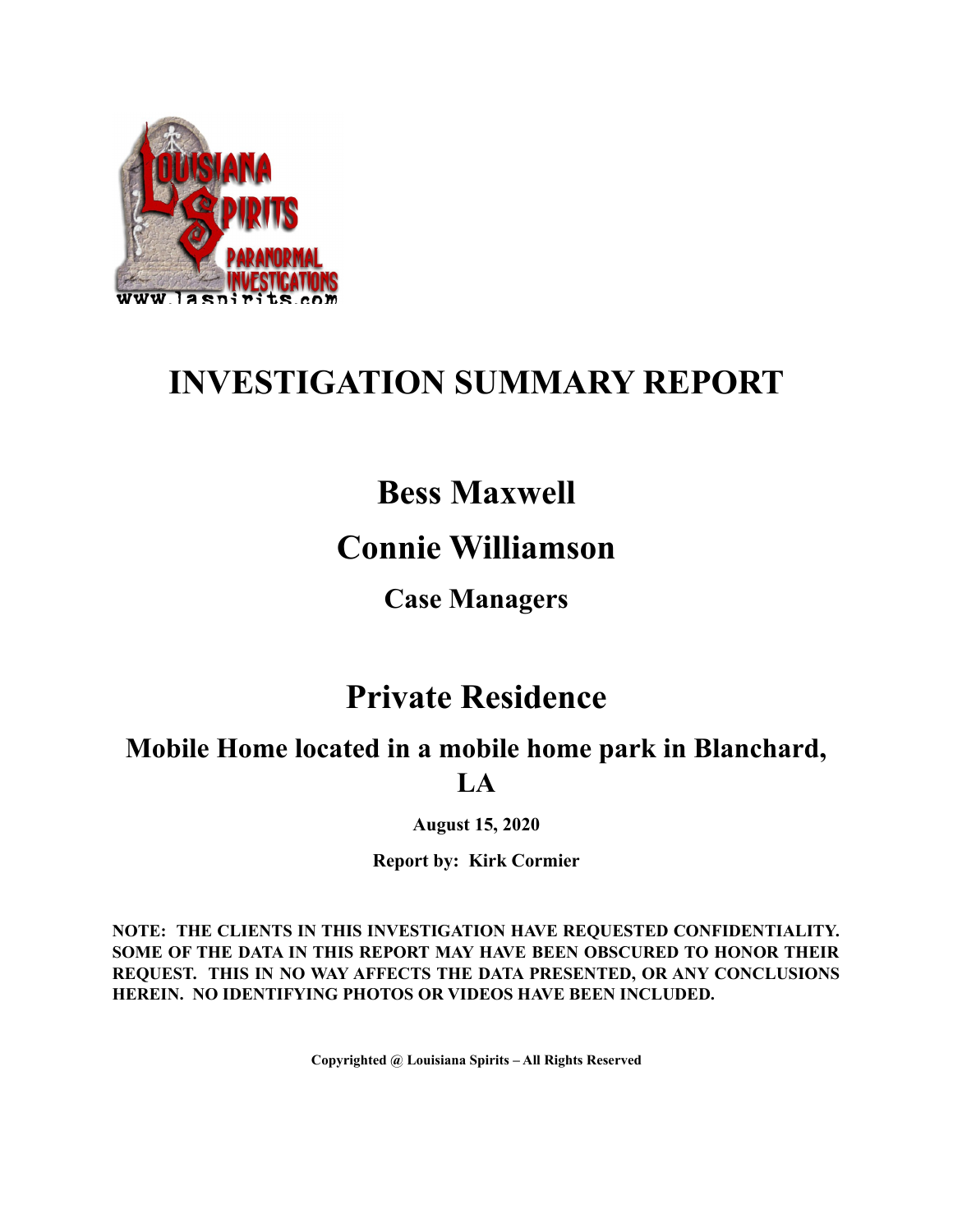

# **INVESTIGATION SUMMARY REPORT**

# **Bess Maxwell**

## **Connie Williamson**

**Case Managers**

## **Private Residence**

**Mobile Home located in a mobile home park in Blanchard, LA**

**August 15, 2020**

**Report by: Kirk Cormier**

**NOTE: THE CLIENTS IN THIS INVESTIGATION HAVE REQUESTED CONFIDENTIALITY. SOME OF THE DATA IN THIS REPORT MAY HAVE BEEN OBSCURED TO HONOR THEIR REQUEST. THIS IN NO WAY AFFECTS THE DATA PRESENTED, OR ANY CONCLUSIONS HEREIN. NO IDENTIFYING PHOTOS OR VIDEOS HAVE BEEN INCLUDED.**

**Copyrighted @ Louisiana Spirits – All Rights Reserved**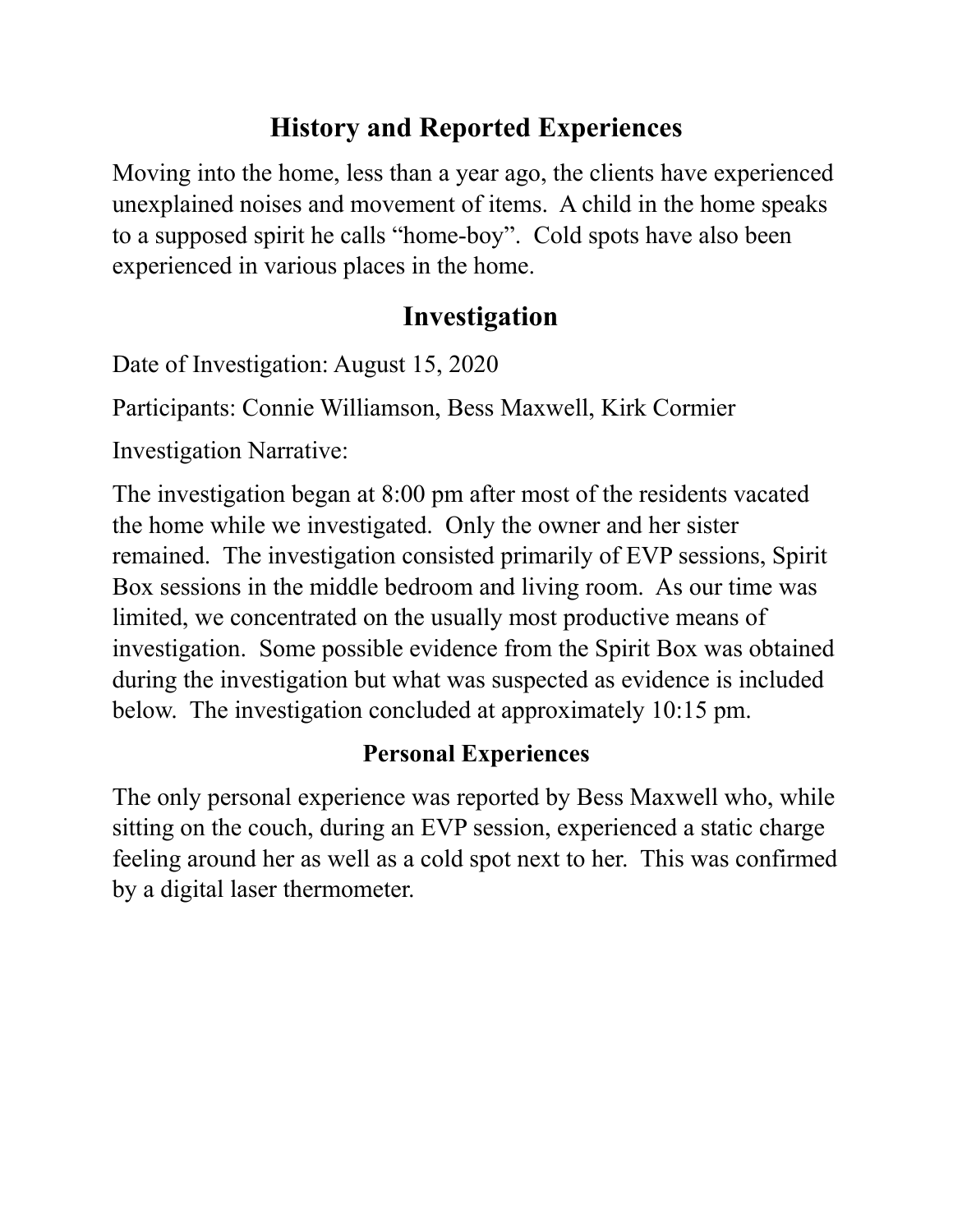## **History and Reported Experiences**

Moving into the home, less than a year ago, the clients have experienced unexplained noises and movement of items. A child in the home speaks to a supposed spirit he calls "home-boy". Cold spots have also been experienced in various places in the home.

## **Investigation**

Date of Investigation: August 15, 2020

Participants: Connie Williamson, Bess Maxwell, Kirk Cormier

Investigation Narrative:

The investigation began at 8:00 pm after most of the residents vacated the home while we investigated. Only the owner and her sister remained. The investigation consisted primarily of EVP sessions, Spirit Box sessions in the middle bedroom and living room. As our time was limited, we concentrated on the usually most productive means of investigation. Some possible evidence from the Spirit Box was obtained during the investigation but what was suspected as evidence is included below. The investigation concluded at approximately 10:15 pm.

### **Personal Experiences**

The only personal experience was reported by Bess Maxwell who, while sitting on the couch, during an EVP session, experienced a static charge feeling around her as well as a cold spot next to her. This was confirmed by a digital laser thermometer.